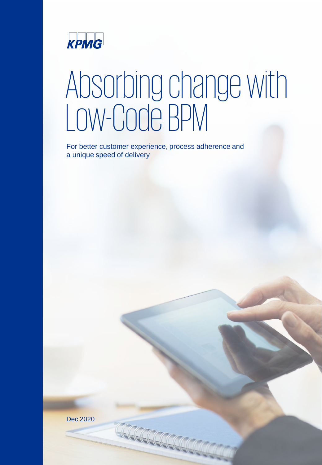

# Absorbing change with Low-Code BPM

For better customer experience, process adherence and a unique speed of delivery

Dec 2020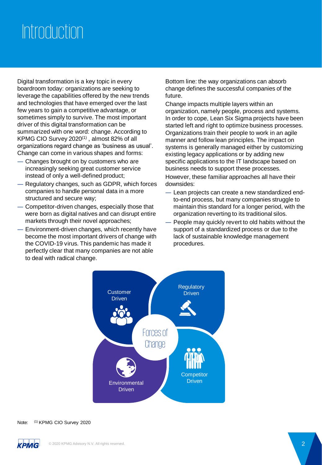# Introduction

Digital transformation is a key topic in every boardroom today: organizations are seeking to leverage the capabilities offered by the new trends and technologies that have emerged over the last few years to gain a competitive advantage, or sometimes simply to survive. The most important driver of this digital transformation can be summarized with one word: change. According to KPMG CIO Survey 2020<sup>(1)</sup>, almost 82% of all organizations regard change as 'business as usual'. Change can come in various shapes and forms:

- ― Changes brought on by customers who are increasingly seeking great customer service instead of only a well-defined product;
- ― Regulatory changes, such as GDPR, which forces companies to handle personal data in a more structured and secure way;
- ― Competitor-driven changes, especially those that were born as digital natives and can disrupt entire markets through their novel approaches;
- Environment-driven changes, which recently have become the most important drivers of change with the COVID-19 virus. This pandemic has made it perfectly clear that many companies are not able to deal with radical change.

Bottom line: the way organizations can absorb change defines the successful companies of the future.

Change impacts multiple layers within an organization, namely people, process and systems. In order to cope, Lean Six Sigma projects have been started left and right to optimize business processes. Organizations train their people to work in an agile manner and follow lean principles. The impact on systems is generally managed either by customizing existing legacy applications or by adding new specific applications to the IT landscape based on business needs to support these processes. However, these familiar approaches all have their downsides:

- ― Lean projects can create a new standardized endto-end process, but many companies struggle to maintain this standard for a longer period, with the organization reverting to its traditional silos.
- ― People may quickly revert to old habits without the support of a standardized process or due to the lack of sustainable knowledge management procedures.



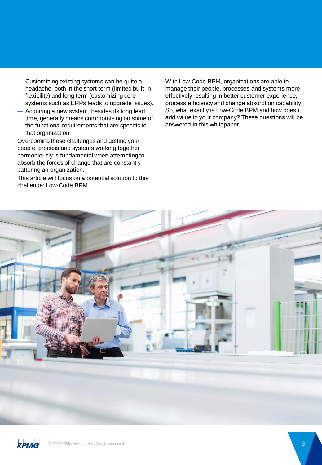- ― Customizing existing systems can be quite a headache, both in the short term (limited built-in flexibility) and long term (customizing core systems such as ERPs leads to upgrade issues).
- ― Acquiring a new system, besides its long lead time, generally means compromising on some of the functional requirements that are specific to that organization.

Overcoming these challenges and getting your people, process and systems working together harmoniously is fundamental when attempting to absorb the forces of change that are constantly battering an organization.

This article will focus on a potential solution to this challenge: Low-Code BPM.

With Low-Code BPM, organizations are able to manage their people, processes and systems more effectively resulting in better customer experience, process efficiency and change absorption capability. So, what exactly is Low-Code BPM and how does it add value to your company? These questions will be answered in this whitepaper.



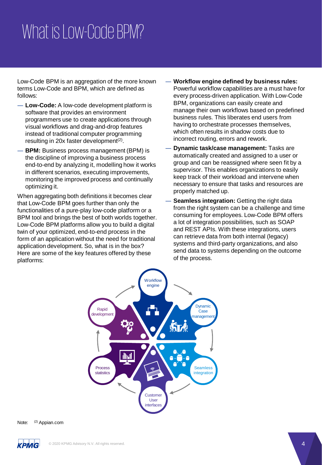# What is Low-Code BPM?

Low-Code BPM is an aggregation of the more known terms Low-Code and BPM, which are defined as follows:

- ― **Low-Code:** A low-code development platform is software that provides an environment programmers use to create applications through visual workflows and drag-and-drop features instead of traditional computer programming resulting in 20x faster development<sup>(2)</sup>.
- ― **BPM:** Business process management (BPM) is the discipline of improving a business process end-to-end by analyzing it, modelling how it works in different scenarios, executing improvements, monitoring the improved process and continually optimizing it.

When aggregating both definitions it becomes clear that Low-Code BPM goes further than only the functionalities of a pure-play low-code platform or a BPM tool and brings the best of both worlds together. Low-Code BPM platforms allow you to build a digital twin of your optimized, end-to-end process in the form of an application without the need for traditional application development. So, what is in the box? Here are some of the key features offered by these platforms:

- ― **Workflow engine defined by business rules:**  Powerful workflow capabilities are a must have for every process-driven application. With Low-Code BPM, organizations can easily create and manage their own workflows based on predefined business rules. This liberates end users from having to orchestrate processes themselves, which often results in shadow costs due to incorrect routing, errors and rework.
- ― **Dynamic task/case management:** Tasks are automatically created and assigned to a user or group and can be reassigned where seen fit by a supervisor. This enables organizations to easily keep track of their workload and intervene when necessary to ensure that tasks and resources are properly matched up.
- Seamless integration: Getting the right data from the right system can be a challenge and time consuming for employees. Low-Code BPM offers a lot of integration possibilities, such as SOAP and REST APIs. With these integrations, users can retrieve data from both internal (legacy) systems and third-party organizations, and also send data to systems depending on the outcome of the process.



Note: (2) Appian.com

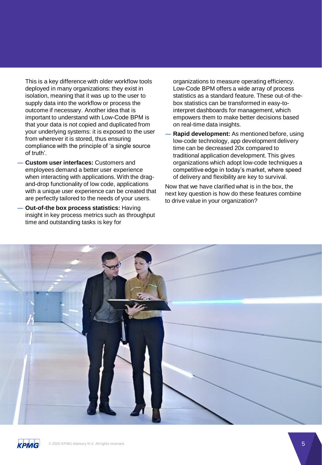This is a key difference with older workflow tools deployed in many organizations: they exist in isolation, meaning that it was up to the user to supply data into the workflow or process the outcome if necessary. Another idea that is important to understand with Low-Code BPM is that your data is not copied and duplicated from your underlying systems: it is exposed to the user from wherever it is stored, thus ensuring compliance with the principle of 'a single source of truth'.

- ― **Custom user interfaces:** Customers and employees demand a better user experience when interacting with applications. With the dragand-drop functionality of low code, applications with a unique user experience can be created that are perfectly tailored to the needs of your users.
- ― **Out-of-the box process statistics:** Having insight in key process metrics such as throughput time and outstanding tasks is key for

― organizations to measure operating efficiency. Low-Code BPM offers a wide array of process statistics as a standard feature. These out-of-thebox statistics can be transformed in easy-tointerpret dashboards for management, which empowers them to make better decisions based on real-time data insights.

― **Rapid development:** As mentioned before, using low-code technology, app development delivery time can be decreased 20x compared to traditional application development. This gives organizations which adopt low-code techniques a competitive edge in today's market, where speed of delivery and flexibility are key to survival.

Now that we have clarified what is in the box, the next key question is how do these features combine to drive value in your organization?



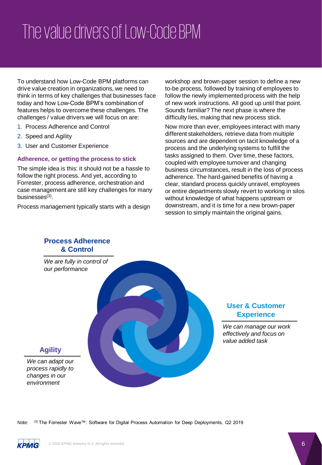# The value drivers of Low-Code BPM

To understand how Low-Code BPM platforms can drive value creation in organizations, we need to think in terms of key challenges that businesses face today and how Low-Code BPM's combination of features helps to overcome these challenges. The challenges / value drivers we will focus on are:

- 1. Process Adherence and Control
- 2. Speed and Agility
- 3. User and Customer Experience

#### **Adherence, or getting the process to stick**

The simple idea is this: it should not be a hassle to follow the right process. And yet, according to Forrester, process adherence, orchestration and case management are still key challenges for many businesses $^{(3)}$ .

Process management typically starts with a design

workshop and brown-paper session to define a new to-be process, followed by training of employees to follow the newly implemented process with the help of new work instructions. All good up until that point. Sounds familiar? The next phase is where the difficulty lies, making that new process stick.

Now more than ever, employees interact with many different stakeholders, retrieve data from multiple sources and are dependent on tacit knowledge of a process and the underlying systems to fulfill the tasks assigned to them. Over time, these factors, coupled with employee turnover and changing business circumstances, result in the loss of process adherence. The hard-gained benefits of having a clear, standard process quickly unravel, employees or entire departments slowly revert to working in silos without knowledge of what happens upstream or downstream, and it is time for a new brown-paper session to simply maintain the original gains.



### **User & Customer Experience**

*We can manage our work effectively and focus on value added task*

Note: (3) The Forrester Wave™: Software for Digital Process Automation for Deep Deployments, Q2 2019

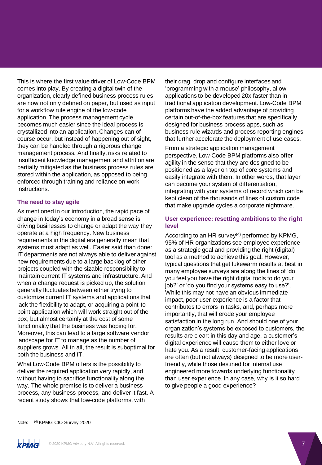This is where the first value driver of Low-Code BPM comes into play. By creating a digital twin of the organization, clearly defined business process rules are now not only defined on paper, but used as input for a workflow rule engine of the low-code application. The process management cycle becomes much easier since the ideal process is crystallized into an application. Changes can of course occur, but instead of happening out of sight, they can be handled through a rigorous change management process. And finally, risks related to insufficient knowledge management and attrition are partially mitigated as the business process rules are stored within the application, as opposed to being enforced through training and reliance on work instructions.

#### **The need to stay agile**

As mentioned in our introduction, the rapid pace of change in today's economy in a broad sense is driving businesses to change or adapt the way they operate at a high frequency. New business requirements in the digital era generally mean that systems must adapt as well. Easier said than done: IT departments are not always able to deliver against new requirements due to a large backlog of other projects coupled with the sizable responsibility to maintain current IT systems and infrastructure. And when a change request is picked up, the solution generally fluctuates between either trying to customize current IT systems and applications that lack the flexibility to adapt, or acquiring a point-topoint application which will work straight out of the box, but almost certainly at the cost of some functionality that the business was hoping for. Moreover, this can lead to a large software vendor landscape for IT to manage as the number of suppliers grows. All in all, the result is suboptimal for both the business and IT.

What Low-Code BPM offers is the possibility to deliver the required application very rapidly, and without having to sacrifice functionality along the way. The whole premise is to deliver a business process, any business process, and deliver it fast. A recent study shows that low-code platforms, with

their drag, drop and configure interfaces and 'programming with a mouse' philosophy, allow applications to be developed 20x faster than in traditional application development. Low-Code BPM platforms have the added advantage of providing certain out-of-the-box features that are specifically designed for business process apps, such as business rule wizards and process reporting engines that further accelerate the deployment of use cases.

From a strategic application management perspective, Low-Code BPM platforms also offer agility in the sense that they are designed to be positioned as a layer on top of core systems and easily integrate with them. In other words, that layer can become your system of differentiation, integrating with your systems of record which can be kept clean of the thousands of lines of custom code that make upgrade cycles a corporate nightmare.

#### **User experience: resetting ambitions to the right level**

According to an HR survey $(4)$  performed by KPMG, 95% of HR organizations see employee experience as a strategic goal and providing the right (digital) tool as a method to achieve this goal. However, typical questions that get lukewarm results at best in many employee surveys are along the lines of 'do you feel you have the right digital tools to do your job?' or 'do you find your systems easy to use?'. While this may not have an obvious immediate impact, poor user experience is a factor that contributes to errors in tasks, and, perhaps more importantly, that will erode your employee satisfaction in the long run. And should one of your organization's systems be exposed to customers, the results are clear: in this day and age, a customer's digital experience will cause them to either love or hate you. As a result, customer-facing applications are often (but not always) designed to be more userfriendly, while those destined for internal use engineered more towards underlying functionality than user experience. In any case, why is it so hard to give people a good experience?

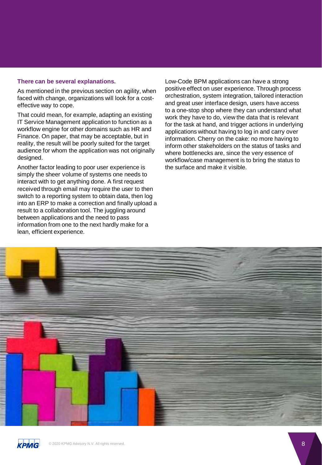#### **There can be several explanations.**

As mentioned in the previous section on agility, when faced with change, organizations will look for a costeffective way to cope.

That could mean, for example, adapting an existing IT Service Management application to function as a workflow engine for other domains such as HR and Finance. On paper, that may be acceptable, but in reality, the result will be poorly suited for the target audience for whom the application was not originally designed.

Another factor leading to poor user experience is simply the sheer volume of systems one needs to interact with to get anything done. A first request received through email may require the user to then switch to a reporting system to obtain data, then log into an ERP to make a correction and finally upload a result to a collaboration tool. The juggling around between applications and the need to pass information from one to the next hardly make for a lean, efficient experience.

Low-Code BPM applications can have a strong positive effect on user experience. Through process orchestration, system integration, tailored interaction and great user interface design, users have access to a one-stop shop where they can understand what work they have to do, view the data that is relevant for the task at hand, and trigger actions in underlying applications without having to log in and carry over information. Cherry on the cake: no more having to inform other stakeholders on the status of tasks and where bottlenecks are, since the very essence of workflow/case management is to bring the status to the surface and make it visible.



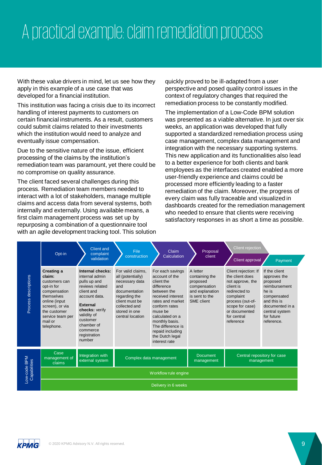# A practical example: claim remediation process

With these value drivers in mind, let us see how they apply in this example of a use case that was developed for a financial institution.

This institution was facing a crisis due to its incorrect handling of interest payments to customers on certain financial instruments. As a result, customers could submit claims related to their investments which the institution would need to analyze and eventually issue compensation.

Due to the sensitive nature of the issue, efficient processing of the claims by the institution's remediation team was paramount, yet there could be no compromise on quality assurance.

The client faced several challenges during this process. Remediation team members needed to interact with a lot of stakeholders, manage multiple claims and access data from several systems, both internally and externally. Using available means, a first claim management process was set up by repurposing a combination of a questionnaire tool with an agile development tracking tool. This solution quickly proved to be ill-adapted from a user perspective and posed quality control issues in the context of regulatory changes that required the remediation process to be constantly modified.

The implementation of a Low-Code BPM solution was presented as a viable alternative. In just over six weeks, an application was developed that fully supported a standardized remediation process using case management, complex data management and integration with the necessary supporting systems. This new application and its functionalities also lead to a better experience for both clients and bank employees as the interfaces created enabled a more user-friendly experience and claims could be processed more efficiently leading to a faster remediation of the claim. Moreover, the progress of every claim was fully traceable and visualized in dashboards created for the remediation management who needed to ensure that clients were receiving satisfactory responses in as short a time as possible.

|                              | Opt-in                                                                                                                                                                             | <b>Client and</b><br>complaint<br>validation                                                                                                                                                                             | File<br>construction                                                                                                                                                      | Claim<br>Calculation                                                                                                                                                                                                                                                 | Proposal<br>client                                                                                        | Client rejection<br>Client approval                                                                                                                                                        | Payment                                                                                                                                                            |
|------------------------------|------------------------------------------------------------------------------------------------------------------------------------------------------------------------------------|--------------------------------------------------------------------------------------------------------------------------------------------------------------------------------------------------------------------------|---------------------------------------------------------------------------------------------------------------------------------------------------------------------------|----------------------------------------------------------------------------------------------------------------------------------------------------------------------------------------------------------------------------------------------------------------------|-----------------------------------------------------------------------------------------------------------|--------------------------------------------------------------------------------------------------------------------------------------------------------------------------------------------|--------------------------------------------------------------------------------------------------------------------------------------------------------------------|
| Process descriptions         | Creating a<br>claim:<br>customers can<br>opt-in for<br>compensation<br>themselves<br>online (input<br>screen), or via<br>the customer<br>service team per<br>mail or<br>telephone. | Internal checks:<br>internal admin<br>pulls up and<br>reviews related<br>client and<br>account data.<br><b>External</b><br>checks: verify<br>validity of<br>customer<br>chamber of<br>commerce<br>registration<br>number | For valid claims.<br>all (potentially)<br>necessary data<br>and<br>documentation<br>regarding the<br>client must be<br>collected and<br>stored in one<br>central location | For each savings<br>account of the<br>client the<br>difference<br>between the<br>received interest<br>rates and market<br>conform rates<br>muse be<br>calculated on a<br>monthly basis.<br>The difference is<br>repaid including<br>the Dutch legal<br>interest rate | A letter<br>containing the<br>proposed<br>compensation<br>and explanation<br>is sent to the<br>SME client | Client rejection: If<br>the client does<br>not approve, the<br>client is<br>redirected to<br>complaint<br>process (out-of-<br>scope for case)<br>or documented<br>for central<br>reference | If the client<br>approves the<br>proposed<br>reimbursement<br>he is<br>compensated<br>and this is<br>documented in a<br>central system<br>for future<br>reference. |
| Low-code BPM<br>Capabilities | Case<br>management of<br>claims                                                                                                                                                    | Integration with<br>external system                                                                                                                                                                                      | Complex data management                                                                                                                                                   |                                                                                                                                                                                                                                                                      | <b>Document</b><br>management                                                                             | Central repository for case<br>management                                                                                                                                                  |                                                                                                                                                                    |
|                              | Workflow rule engine                                                                                                                                                               |                                                                                                                                                                                                                          |                                                                                                                                                                           |                                                                                                                                                                                                                                                                      |                                                                                                           |                                                                                                                                                                                            |                                                                                                                                                                    |
|                              | Delivery in 6 weeks                                                                                                                                                                |                                                                                                                                                                                                                          |                                                                                                                                                                           |                                                                                                                                                                                                                                                                      |                                                                                                           |                                                                                                                                                                                            |                                                                                                                                                                    |

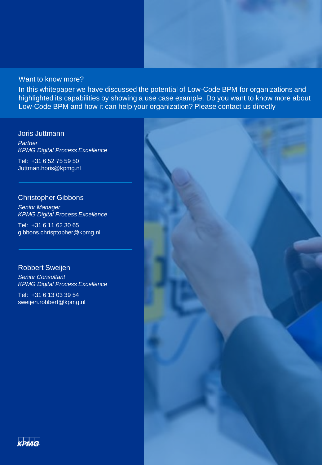### Want to know more?

In this whitepaper we have discussed the potential of Low-Code BPM for organizations and highlighted its capabilities by showing a use case example. Do you want to know more about Low-Code BPM and how it can help your organization? Please contact us directly

#### Joris Juttmann

*Partner KPMG Digital Process Excellence*

Tel: +31 6 52 75 59 50 Juttman.horis@kpmg.nl

### Christopher Gibbons

*Senior Manager KPMG Digital Process Excellence*

Tel: +31 6 11 62 30 65 gibbons.chrisptopher@kpmg.nl

### Robbert Sweijen

*Senior Consultant KPMG Digital Process Excellence*

Tel: +31 6 13 03 39 54 sweijen.robbert@kpmg.nl